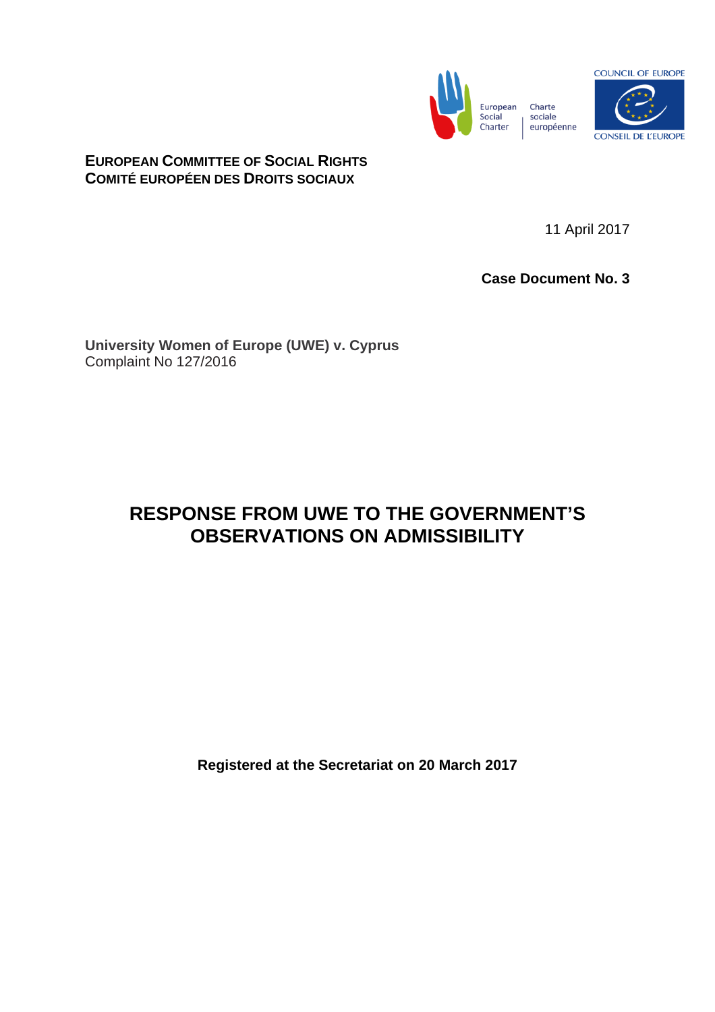



**EUROPEAN COMMITTEE OF SOCIAL RIGHTS COMITÉ EUROPÉEN DES DROITS SOCIAUX**

11 April 2017

**Case Document No. 3**

**University Women of Europe (UWE) v. Cyprus**  Complaint No 127/2016

# **RESPONSE FROM UWE TO THE GOVERNMENT'S OBSERVATIONS ON ADMISSIBILITY**

**Registered at the Secretariat on 20 March 2017**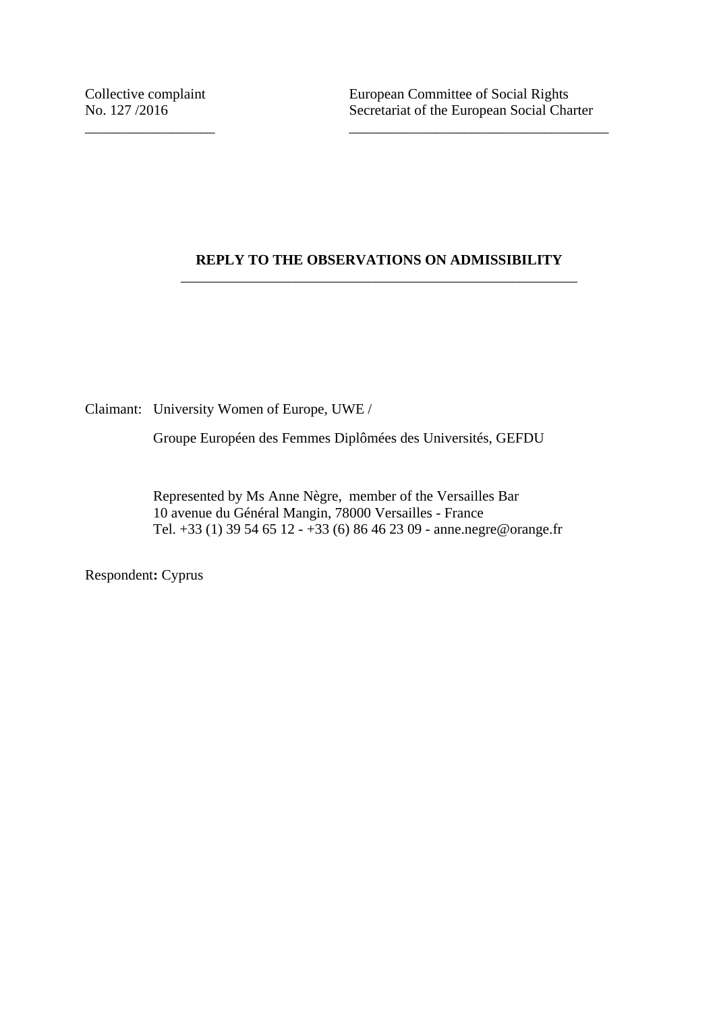## **REPLY TO THE OBSERVATIONS ON ADMISSIBILITY** \_\_\_\_\_\_\_\_\_\_\_\_\_\_\_\_\_\_\_\_\_\_\_\_\_\_\_\_\_\_\_\_\_\_\_\_\_\_\_\_\_\_\_\_\_\_\_\_\_\_\_\_\_\_\_

\_\_\_\_\_\_\_\_\_\_\_\_\_\_\_\_\_\_ \_\_\_\_\_\_\_\_\_\_\_\_\_\_\_\_\_\_\_\_\_\_\_\_\_\_\_\_\_\_\_\_\_\_\_\_

Claimant: University Women of Europe, UWE /

Groupe Européen des Femmes Diplômées des Universités, GEFDU

Represented by Ms Anne Nègre, member of the Versailles Bar 10 avenue du Général Mangin, 78000 Versailles - France Tel. +33 (1) 39 54 65 12 - +33 (6) 86 46 23 09 - anne.negre@orange.fr

Respondent**:** Cyprus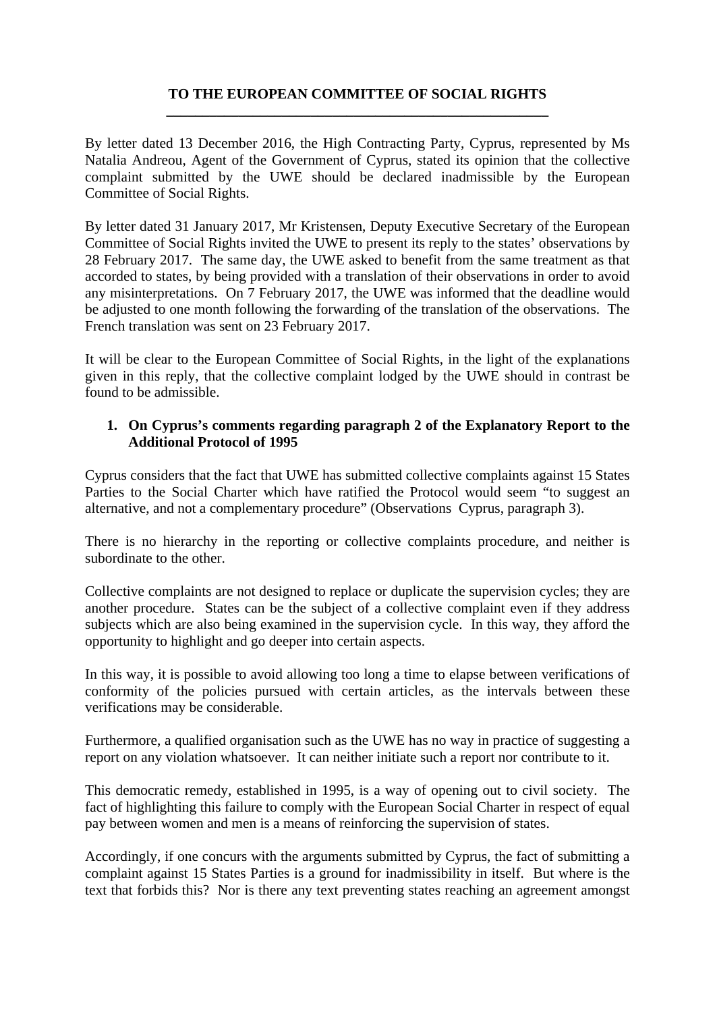## **TO THE EUROPEAN COMMITTEE OF SOCIAL RIGHTS \_\_\_\_\_\_\_\_\_\_\_\_\_\_\_\_\_\_\_\_\_\_\_\_\_\_\_\_\_\_\_\_\_\_\_\_\_\_\_\_\_\_\_\_\_\_\_\_\_\_\_\_\_**

By letter dated 13 December 2016, the High Contracting Party, Cyprus, represented by Ms Natalia Andreou, Agent of the Government of Cyprus, stated its opinion that the collective complaint submitted by the UWE should be declared inadmissible by the European Committee of Social Rights.

By letter dated 31 January 2017, Mr Kristensen, Deputy Executive Secretary of the European Committee of Social Rights invited the UWE to present its reply to the states' observations by 28 February 2017. The same day, the UWE asked to benefit from the same treatment as that accorded to states, by being provided with a translation of their observations in order to avoid any misinterpretations. On 7 February 2017, the UWE was informed that the deadline would be adjusted to one month following the forwarding of the translation of the observations. The French translation was sent on 23 February 2017.

It will be clear to the European Committee of Social Rights, in the light of the explanations given in this reply, that the collective complaint lodged by the UWE should in contrast be found to be admissible.

#### **1. On Cyprus's comments regarding paragraph 2 of the Explanatory Report to the Additional Protocol of 1995**

Cyprus considers that the fact that UWE has submitted collective complaints against 15 States Parties to the Social Charter which have ratified the Protocol would seem "to suggest an alternative, and not a complementary procedure" (Observations Cyprus, paragraph 3).

There is no hierarchy in the reporting or collective complaints procedure, and neither is subordinate to the other.

Collective complaints are not designed to replace or duplicate the supervision cycles; they are another procedure. States can be the subject of a collective complaint even if they address subjects which are also being examined in the supervision cycle. In this way, they afford the opportunity to highlight and go deeper into certain aspects.

In this way, it is possible to avoid allowing too long a time to elapse between verifications of conformity of the policies pursued with certain articles, as the intervals between these verifications may be considerable.

Furthermore, a qualified organisation such as the UWE has no way in practice of suggesting a report on any violation whatsoever. It can neither initiate such a report nor contribute to it.

This democratic remedy, established in 1995, is a way of opening out to civil society. The fact of highlighting this failure to comply with the European Social Charter in respect of equal pay between women and men is a means of reinforcing the supervision of states.

Accordingly, if one concurs with the arguments submitted by Cyprus, the fact of submitting a complaint against 15 States Parties is a ground for inadmissibility in itself. But where is the text that forbids this? Nor is there any text preventing states reaching an agreement amongst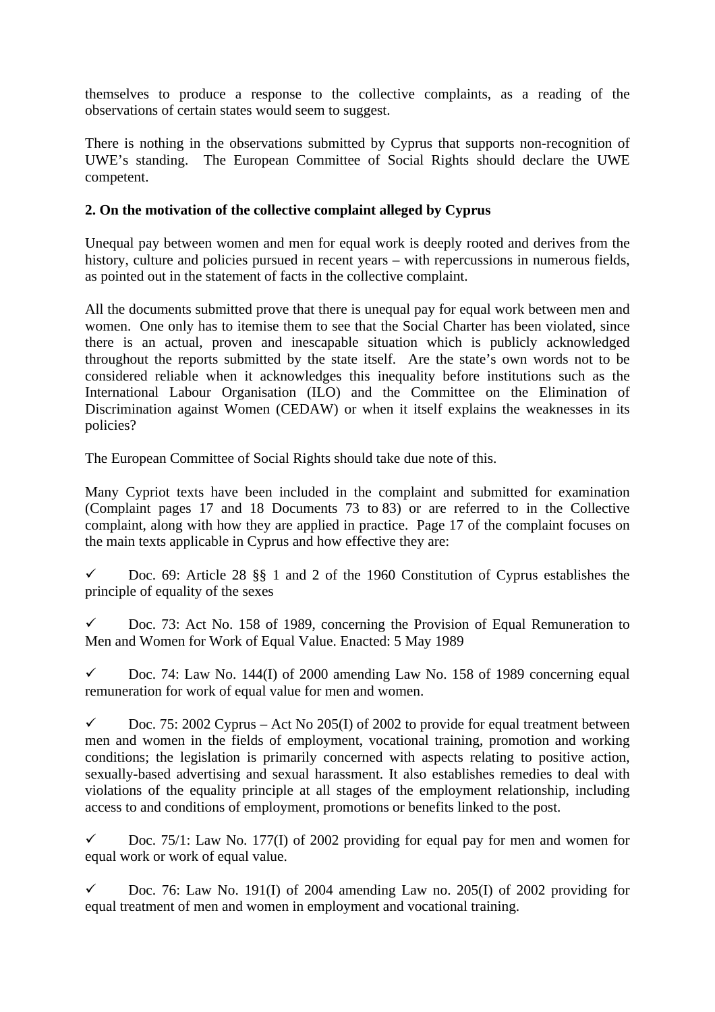themselves to produce a response to the collective complaints, as a reading of the observations of certain states would seem to suggest.

There is nothing in the observations submitted by Cyprus that supports non-recognition of UWE's standing. The European Committee of Social Rights should declare the UWE competent.

## **2. On the motivation of the collective complaint alleged by Cyprus**

Unequal pay between women and men for equal work is deeply rooted and derives from the history, culture and policies pursued in recent years – with repercussions in numerous fields, as pointed out in the statement of facts in the collective complaint.

All the documents submitted prove that there is unequal pay for equal work between men and women. One only has to itemise them to see that the Social Charter has been violated, since there is an actual, proven and inescapable situation which is publicly acknowledged throughout the reports submitted by the state itself. Are the state's own words not to be considered reliable when it acknowledges this inequality before institutions such as the International Labour Organisation (ILO) and the Committee on the Elimination of Discrimination against Women (CEDAW) or when it itself explains the weaknesses in its policies?

The European Committee of Social Rights should take due note of this.

Many Cypriot texts have been included in the complaint and submitted for examination (Complaint pages 17 and 18 Documents 73 to 83) or are referred to in the Collective complaint, along with how they are applied in practice. Page 17 of the complaint focuses on the main texts applicable in Cyprus and how effective they are:

 $\checkmark$  Doc. 69: Article 28 §§ 1 and 2 of the 1960 Constitution of Cyprus establishes the principle of equality of the sexes

 $\checkmark$  Doc. 73: Act No. 158 of 1989, concerning the Provision of Equal Remuneration to [Men and Women for Work of Equal Value.](http://www.ilo.org/dyn/natlex/natlex4.detail?p_lang=fr&p_isn=20898&p_country=CYP&p_count=536&p_classification=05&p_classcount=33) Enacted: 5 May 1989

 $\checkmark$  Doc. 74: Law No. 144(I) of 2000 amending Law No. 158 of 1989 concerning equal remuneration for work of equal value for men and women.

 $\checkmark$  Doc. 75: 2002 Cyprus – Act No 205(I) of 2002 to provide for equal treatment between men and women in the fields of employment, vocational training, promotion and working conditions; the legislation is primarily concerned with aspects relating to positive action, sexually-based advertising and sexual harassment. It also establishes remedies to deal with violations of the equality principle at all stages of the employment relationship, including access to and conditions of employment, promotions or benefits linked to the post.

 $\checkmark$  Doc. 75/1: Law No. 177(I) of 2002 providing for equal pay for men and women for equal work or work of equal value.

 $\checkmark$  Doc. 76: Law No. 191(I) of 2004 amending Law no. 205(I) of 2002 providing for equal treatment of men and women in employment and vocational training.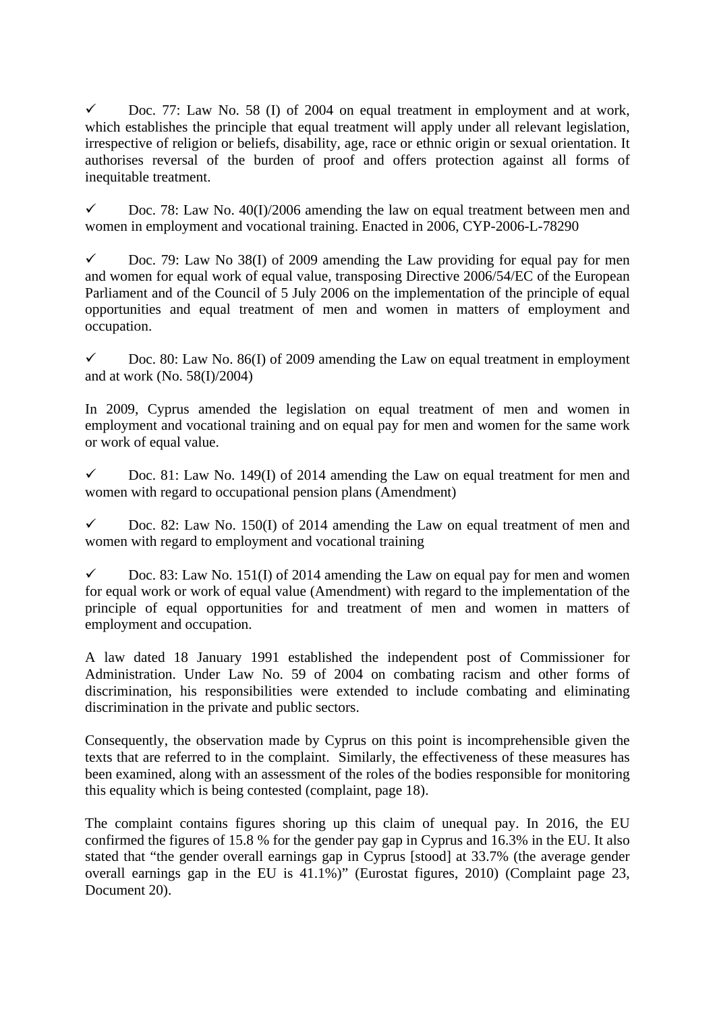$\checkmark$  Doc. 77: Law No. 58 (I) of 2004 on equal treatment in employment and at work, which establishes the principle that equal treatment will apply under all relevant legislation, irrespective of religion or beliefs, disability, age, race or ethnic origin or sexual orientation. It authorises reversal of the burden of proof and offers protection against all forms of inequitable treatment.

 $\checkmark$  Doc. 78: Law No. 40(I)/2006 amending the law on equal treatment between men and women in employment and vocational training. Enacted in 2006, CYP-2006-L-78290

 $\checkmark$  Doc. 79: Law No 38(I) of 2009 amending the Law providing for equal pay for men and women for equal work of equal value, transposing Directive 2006/54/EC of the European Parliament and of the Council of 5 July 2006 on the implementation of the principle of equal opportunities and equal treatment of men and women in matters of employment and occupation.

 $\checkmark$  Doc. 80: Law No. 86(I) of 2009 amending the Law on equal treatment in employment and at work (No. 58(I)/2004)

In 2009, Cyprus amended the legislation on equal treatment of men and women in employment and vocational training and on equal pay for men and women for the same work or work of equal value.

 $\checkmark$  Doc. 81: Law No. 149(I) of 2014 amending the Law on equal treatment for men and women with regard to occupational pension plans (Amendment)

 $\checkmark$  Doc. 82: Law No. 150(I) of 2014 amending the Law on equal treatment of men and women with regard to employment and vocational training

 $\checkmark$  Doc. 83: Law No. 151(I) of 2014 amending the Law on equal pay for men and women for equal work or work of equal value (Amendment) with regard to the implementation of the principle of equal opportunities for and treatment of men and women in matters of employment and occupation.

A law dated 18 January 1991 established the independent post of Commissioner for Administration. Under Law No. 59 of 2004 on combating racism and other forms of discrimination, his responsibilities were extended to include combating and eliminating discrimination in the private and public sectors.

Consequently, the observation made by Cyprus on this point is incomprehensible given the texts that are referred to in the complaint. Similarly, the effectiveness of these measures has been examined, along with an assessment of the roles of the bodies responsible for monitoring this equality which is being contested (complaint, page 18).

The complaint contains figures shoring up this claim of unequal pay. In 2016, the EU confirmed the figures of 15.8 % for the gender pay gap in Cyprus and 16.3% in the EU. It also stated that "the gender overall earnings gap in Cyprus [stood] at 33.7% (the average gender overall earnings gap in the EU is 41.1%)" (Eurostat figures, 2010) (Complaint page 23, Document 20).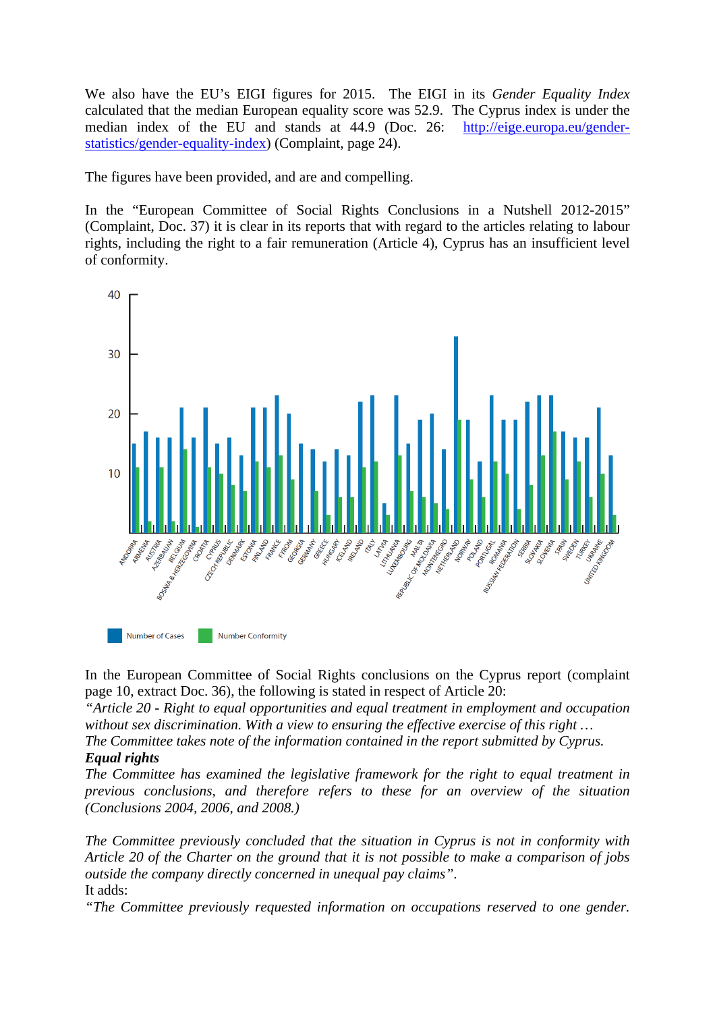We also have the EU's EIGI figures for 2015. The EIGI in its *Gender Equality Index* calculated that the median European equality score was 52.9. The Cyprus index is under the median index of the EU and stands at 44.9 (Doc. 26: [http://eige.europa.eu/gender](http://eige.europa.eu/gender-statistics/gender-equality-index)[statistics/gender-equality-index](http://eige.europa.eu/gender-statistics/gender-equality-index)) (Complaint, page 24).

The figures have been provided, and are and compelling.

In the "European Committee of Social Rights Conclusions in a Nutshell 2012-2015" (Complaint, Doc. 37) it is clear in its reports that with regard to the articles relating to labour rights, including the right to a fair remuneration (Article 4), Cyprus has an insufficient level of conformity.



In the European Committee of Social Rights conclusions on the Cyprus report (complaint page 10, extract Doc. 36), the following is stated in respect of Article 20:

*"Article 20 - Right to equal opportunities and equal treatment in employment and occupation without sex discrimination. With a view to ensuring the effective exercise of this right …*

*The Committee takes note of the information contained in the report submitted by Cyprus. Equal rights*

*The Committee has examined the legislative framework for the right to equal treatment in previous conclusions, and therefore refers to these for an overview of the situation (Conclusions 2004, 2006, and 2008.)*

*The Committee previously concluded that the situation in Cyprus is not in conformity with Article 20 of the Charter on the ground that it is not possible to make a comparison of jobs outside the company directly concerned in unequal pay claims"*. It adds:

*"The Committee previously requested information on occupations reserved to one gender.*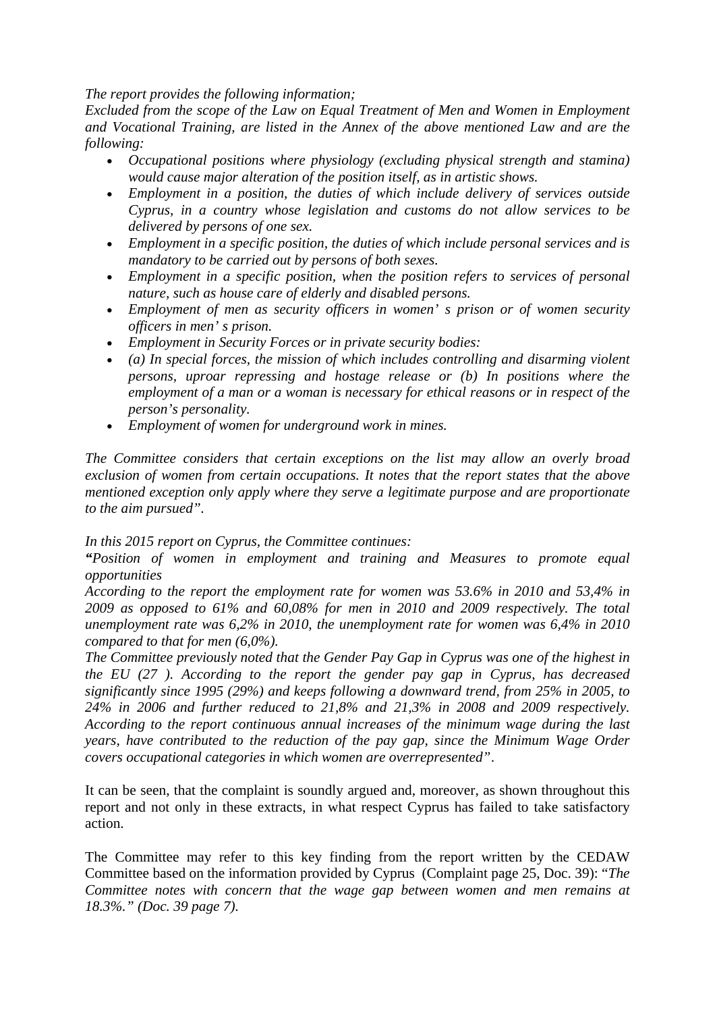*The report provides the following information;*

*Excluded from the scope of the Law on Equal Treatment of Men and Women in Employment and Vocational Training, are listed in the Annex of the above mentioned Law and are the following:* 

- *Occupational positions where physiology (excluding physical strength and stamina) would cause major alteration of the position itself, as in artistic shows.*
- *Employment in a position, the duties of which include delivery of services outside Cyprus, in a country whose legislation and customs do not allow services to be delivered by persons of one sex.*
- *Employment in a specific position, the duties of which include personal services and is mandatory to be carried out by persons of both sexes.*
- *Employment in a specific position, when the position refers to services of personal nature, such as house care of elderly and disabled persons.*
- *Employment of men as security officers in women' s prison or of women security officers in men' s prison.*
- *Employment in Security Forces or in private security bodies:*
- *(a) In special forces, the mission of which includes controlling and disarming violent persons, uproar repressing and hostage release or (b) In positions where the employment of a man or a woman is necessary for ethical reasons or in respect of the person's personality.*
- *Employment of women for underground work in mines.*

*The Committee considers that certain exceptions on the list may allow an overly broad exclusion of women from certain occupations. It notes that the report states that the above mentioned exception only apply where they serve a legitimate purpose and are proportionate to the aim pursued".* 

*In this 2015 report on Cyprus, the Committee continues:*

*"Position of women in employment and training and Measures to promote equal opportunities*

*According to the report the employment rate for women was 53.6% in 2010 and 53,4% in 2009 as opposed to 61% and 60,08% for men in 2010 and 2009 respectively. The total unemployment rate was 6,2% in 2010, the unemployment rate for women was 6,4% in 2010 compared to that for men (6,0%).*

*The Committee previously noted that the Gender Pay Gap in Cyprus was one of the highest in the EU (27 ). According to the report the gender pay gap in Cyprus, has decreased significantly since 1995 (29%) and keeps following a downward trend, from 25% in 2005, to 24% in 2006 and further reduced to 21,8% and 21,3% in 2008 and 2009 respectively. According to the report continuous annual increases of the minimum wage during the last years, have contributed to the reduction of the pay gap, since the Minimum Wage Order covers occupational categories in which women are overrepresented"*.

It can be seen, that the complaint is soundly argued and, moreover, as shown throughout this report and not only in these extracts, in what respect Cyprus has failed to take satisfactory action.

The Committee may refer to this key finding from the report written by the CEDAW Committee based on the information provided by Cyprus (Complaint page 25, Doc. 39): "*The Committee notes with concern that the wage gap between women and men remains at 18.3%." (Doc. 39 page 7).*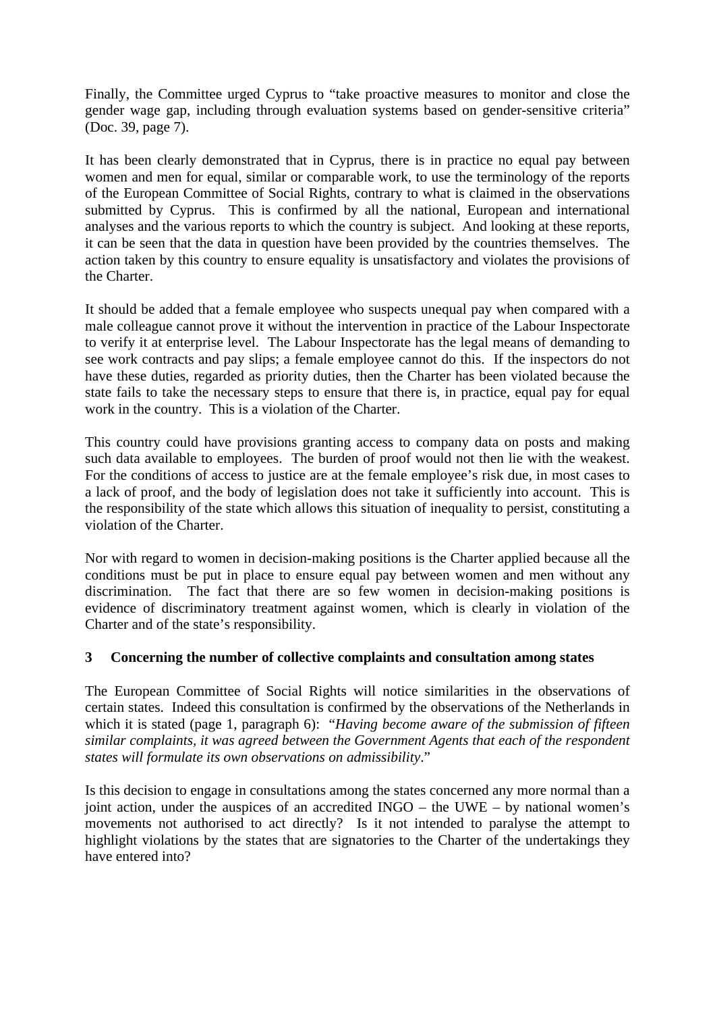Finally, the Committee urged Cyprus to "take proactive measures to monitor and close the gender wage gap, including through evaluation systems based on gender-sensitive criteria" (Doc. 39, page 7).

It has been clearly demonstrated that in Cyprus, there is in practice no equal pay between women and men for equal, similar or comparable work, to use the terminology of the reports of the European Committee of Social Rights, contrary to what is claimed in the observations submitted by Cyprus. This is confirmed by all the national, European and international analyses and the various reports to which the country is subject. And looking at these reports, it can be seen that the data in question have been provided by the countries themselves. The action taken by this country to ensure equality is unsatisfactory and violates the provisions of the Charter.

It should be added that a female employee who suspects unequal pay when compared with a male colleague cannot prove it without the intervention in practice of the Labour Inspectorate to verify it at enterprise level. The Labour Inspectorate has the legal means of demanding to see work contracts and pay slips; a female employee cannot do this. If the inspectors do not have these duties, regarded as priority duties, then the Charter has been violated because the state fails to take the necessary steps to ensure that there is, in practice, equal pay for equal work in the country. This is a violation of the Charter.

This country could have provisions granting access to company data on posts and making such data available to employees. The burden of proof would not then lie with the weakest. For the conditions of access to justice are at the female employee's risk due, in most cases to a lack of proof, and the body of legislation does not take it sufficiently into account. This is the responsibility of the state which allows this situation of inequality to persist, constituting a violation of the Charter.

Nor with regard to women in decision-making positions is the Charter applied because all the conditions must be put in place to ensure equal pay between women and men without any discrimination. The fact that there are so few women in decision-making positions is evidence of discriminatory treatment against women, which is clearly in violation of the Charter and of the state's responsibility.

## **3 Concerning the number of collective complaints and consultation among states**

The European Committee of Social Rights will notice similarities in the observations of certain states. Indeed this consultation is confirmed by the observations of the Netherlands in which it is stated (page 1, paragraph 6): "*Having become aware of the submission of fifteen similar complaints, it was agreed between the Government Agents that each of the respondent states will formulate its own observations on admissibility*."

Is this decision to engage in consultations among the states concerned any more normal than a joint action, under the auspices of an accredited INGO – the UWE – by national women's movements not authorised to act directly? Is it not intended to paralyse the attempt to highlight violations by the states that are signatories to the Charter of the undertakings they have entered into?